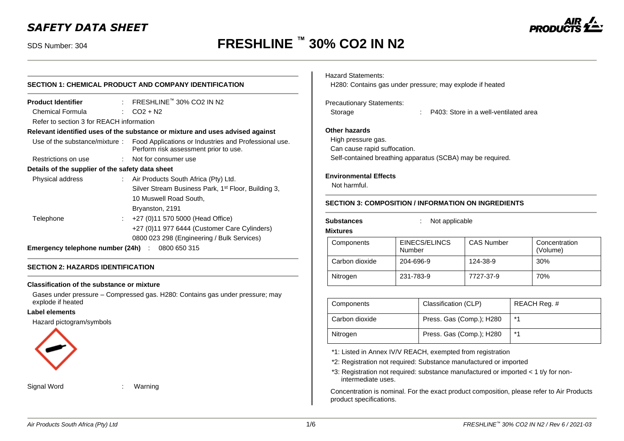# *SAFETY DATA SHEET*

# SDS Number: 304 **FRESHLINE ™ 30% CO2 IN N2**

| SECTION 1: CHEMICAL PRODUCT AND COMPANY IDENTIFICATION            |                                                                                                                               |  |  |  |
|-------------------------------------------------------------------|-------------------------------------------------------------------------------------------------------------------------------|--|--|--|
| <b>Product Identifier</b>                                         | $\therefore$ FRESHLINE™ 30% CO2 IN N2                                                                                         |  |  |  |
| Chemical Formula                                                  | $CO2 + N2$                                                                                                                    |  |  |  |
| Refer to section 3 for REACH information                          |                                                                                                                               |  |  |  |
|                                                                   | Relevant identified uses of the substance or mixture and uses advised against                                                 |  |  |  |
|                                                                   | Use of the substance/mixture : Food Applications or Industries and Professional use.<br>Perform risk assessment prior to use. |  |  |  |
| Restrictions on use                                               | : Not for consumer use                                                                                                        |  |  |  |
| Details of the supplier of the safety data sheet                  |                                                                                                                               |  |  |  |
| Physical address<br>$\mathbb{R}^{\mathbb{Z}}$                     | Air Products South Africa (Pty) Ltd.                                                                                          |  |  |  |
|                                                                   | Silver Stream Business Park, 1 <sup>st</sup> Floor, Building 3,                                                               |  |  |  |
|                                                                   | 10 Muswell Road South,                                                                                                        |  |  |  |
|                                                                   | Bryanston, 2191                                                                                                               |  |  |  |
| Telephone<br>$\mathcal{L}_{\mathrm{max}}$                         | +27 (0)11 570 5000 (Head Office)                                                                                              |  |  |  |
|                                                                   | +27 (0)11 977 6444 (Customer Care Cylinders)                                                                                  |  |  |  |
|                                                                   | 0800 023 298 (Engineering / Bulk Services)                                                                                    |  |  |  |
| <b>Emergency telephone number (24h)</b> $\therefore$ 0800 650 315 |                                                                                                                               |  |  |  |

#### **SECTION 2: HAZARDS IDENTIFICATION**

#### **Classification of the substance or mixture**

Gases under pressure – Compressed gas. H280: Contains gas under pressure; may explode if heated

#### **Label elements**

Hazard pictogram/symbols



Signal Word : Warning

Hazard Statements:

H280: Contains gas under pressure; may explode if heated

#### Precautionary Statements:

Storage : P403: Store in a well-ventilated area

#### **Other hazards**

High pressure gas.

Can cause rapid suffocation.

Self-contained breathing apparatus (SCBA) may be required.

#### **Environmental Effects**

Not harmful.

#### **SECTION 3: COMPOSITION / INFORMATION ON INGREDIENTS**

**Substances** : Not applicable

**Mixtures**

| Components     | EINECS/ELINCS<br>Number | <b>CAS Number</b> | Concentration<br>(Volume) |
|----------------|-------------------------|-------------------|---------------------------|
| Carbon dioxide | 204-696-9               | 124-38-9          | 30%                       |
| Nitrogen       | 231-783-9               | 7727-37-9         | 70%                       |

| Components     | Classification (CLP)     | REACH Req. # |
|----------------|--------------------------|--------------|
| Carbon dioxide | Press. Gas (Comp.); H280 | $*$ 4        |
| Nitrogen       | Press. Gas (Comp.); H280 | $*$ 4        |

\*1: Listed in Annex IV/V REACH, exempted from registration

\*2: Registration not required: Substance manufactured or imported

\*3: Registration not required: substance manufactured or imported < 1 t/y for nonintermediate uses.

Concentration is nominal. For the exact product composition, please refer to Air Products product specifications.

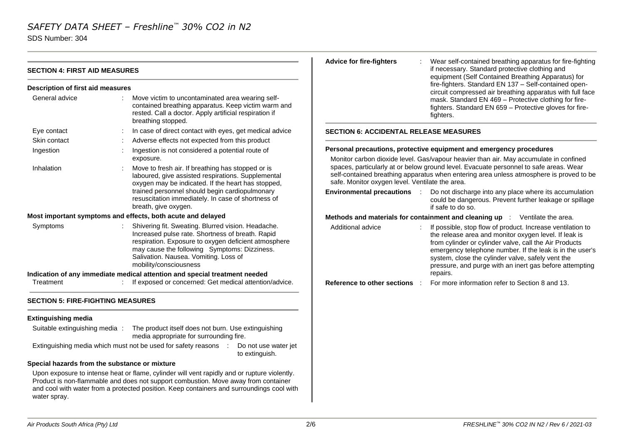SDS Number: 304

|                                               |                                                                                                                                                                                                                                                                                     | <b>Advice for fire-fighters</b>                                                                                                                                                                                                     | Wear self-contained breathing apparatus for fire-fighting                                                                                                                                                                                                                                                                                                   |  |
|-----------------------------------------------|-------------------------------------------------------------------------------------------------------------------------------------------------------------------------------------------------------------------------------------------------------------------------------------|-------------------------------------------------------------------------------------------------------------------------------------------------------------------------------------------------------------------------------------|-------------------------------------------------------------------------------------------------------------------------------------------------------------------------------------------------------------------------------------------------------------------------------------------------------------------------------------------------------------|--|
| <b>SECTION 4: FIRST AID MEASURES</b>          |                                                                                                                                                                                                                                                                                     |                                                                                                                                                                                                                                     | if necessary. Standard protective clothing and<br>equipment (Self Contained Breathing Apparatus) for<br>fire-fighters. Standard EN 137 - Self-contained open-<br>circuit compressed air breathing apparatus with full face<br>mask. Standard EN 469 - Protective clothing for fire-<br>fighters. Standard EN 659 - Protective gloves for fire-<br>fighters. |  |
| Description of first aid measures             |                                                                                                                                                                                                                                                                                     |                                                                                                                                                                                                                                     |                                                                                                                                                                                                                                                                                                                                                             |  |
| General advice                                | Move victim to uncontaminated area wearing self-<br>contained breathing apparatus. Keep victim warm and<br>rested. Call a doctor. Apply artificial respiration if<br>breathing stopped.                                                                                             |                                                                                                                                                                                                                                     |                                                                                                                                                                                                                                                                                                                                                             |  |
| Eye contact                                   | In case of direct contact with eyes, get medical advice                                                                                                                                                                                                                             | <b>SECTION 6: ACCIDENTAL RELEASE MEASURES</b>                                                                                                                                                                                       |                                                                                                                                                                                                                                                                                                                                                             |  |
| Skin contact                                  | Adverse effects not expected from this product                                                                                                                                                                                                                                      |                                                                                                                                                                                                                                     |                                                                                                                                                                                                                                                                                                                                                             |  |
| Ingestion                                     | Ingestion is not considered a potential route of                                                                                                                                                                                                                                    |                                                                                                                                                                                                                                     | Personal precautions, protective equipment and emergency procedures                                                                                                                                                                                                                                                                                         |  |
|                                               | exposure.                                                                                                                                                                                                                                                                           |                                                                                                                                                                                                                                     | Monitor carbon dioxide level. Gas/vapour heavier than air. May accumulate in confined                                                                                                                                                                                                                                                                       |  |
| Inhalation                                    | Move to fresh air. If breathing has stopped or is<br>laboured, give assisted respirations. Supplemental<br>oxygen may be indicated. If the heart has stopped,                                                                                                                       | spaces, particularly at or below ground level. Evacuate personnel to safe areas. Wear<br>self-contained breathing apparatus when entering area unless atmosphere is proved to be<br>safe. Monitor oxygen level. Ventilate the area. |                                                                                                                                                                                                                                                                                                                                                             |  |
|                                               | trained personnel should begin cardiopulmonary<br>resuscitation immediately. In case of shortness of<br>breath, give oxygen.                                                                                                                                                        | <b>Environmental precautions :</b>                                                                                                                                                                                                  | Do not discharge into any place where its accumulation<br>could be dangerous. Prevent further leakage or spillage<br>if safe to do so.                                                                                                                                                                                                                      |  |
|                                               | Most important symptoms and effects, both acute and delayed                                                                                                                                                                                                                         |                                                                                                                                                                                                                                     | Methods and materials for containment and cleaning up : Ventilate the area.                                                                                                                                                                                                                                                                                 |  |
| Symptoms                                      | : Shivering fit. Sweating. Blurred vision. Headache.<br>Increased pulse rate. Shortness of breath. Rapid<br>respiration. Exposure to oxygen deficient atmosphere<br>may cause the following Symptoms: Dizziness.<br>Salivation. Nausea. Vomiting. Loss of<br>mobility/consciousness | Additional advice                                                                                                                                                                                                                   | If possible, stop flow of product. Increase ventilation to<br>the release area and monitor oxygen level. If leak is<br>from cylinder or cylinder valve, call the Air Products<br>emergency telephone number. If the leak is in the user's<br>system, close the cylinder valve, safely vent the<br>pressure, and purge with an inert gas before attempting   |  |
|                                               | Indication of any immediate medical attention and special treatment needed                                                                                                                                                                                                          |                                                                                                                                                                                                                                     | repairs.                                                                                                                                                                                                                                                                                                                                                    |  |
| Treatment                                     | : If exposed or concerned: Get medical attention/advice.                                                                                                                                                                                                                            | <b>Reference to other sections</b>                                                                                                                                                                                                  | For more information refer to Section 8 and 13.                                                                                                                                                                                                                                                                                                             |  |
| <b>SECTION 5: FIRE-FIGHTING MEASURES</b>      |                                                                                                                                                                                                                                                                                     |                                                                                                                                                                                                                                     |                                                                                                                                                                                                                                                                                                                                                             |  |
| <b>Extinguishing media</b>                    |                                                                                                                                                                                                                                                                                     |                                                                                                                                                                                                                                     |                                                                                                                                                                                                                                                                                                                                                             |  |
| Suitable extinguishing media :                | The product itself does not burn. Use extinguishing<br>media appropriate for surrounding fire.                                                                                                                                                                                      |                                                                                                                                                                                                                                     |                                                                                                                                                                                                                                                                                                                                                             |  |
|                                               | Extinguishing media which must not be used for safety reasons :<br>Do not use water jet<br>to extinguish.                                                                                                                                                                           |                                                                                                                                                                                                                                     |                                                                                                                                                                                                                                                                                                                                                             |  |
| Special hazards from the substance or mixture |                                                                                                                                                                                                                                                                                     |                                                                                                                                                                                                                                     |                                                                                                                                                                                                                                                                                                                                                             |  |
|                                               | Upon exposure to intense heat or flame, cylinder will vent rapidly and or rupture violently.<br>Product is non-flammable and does not support combustion. Move away from container<br>and cool with water from a protected position. Keep containers and surroundings cool with     |                                                                                                                                                                                                                                     |                                                                                                                                                                                                                                                                                                                                                             |  |

water spray.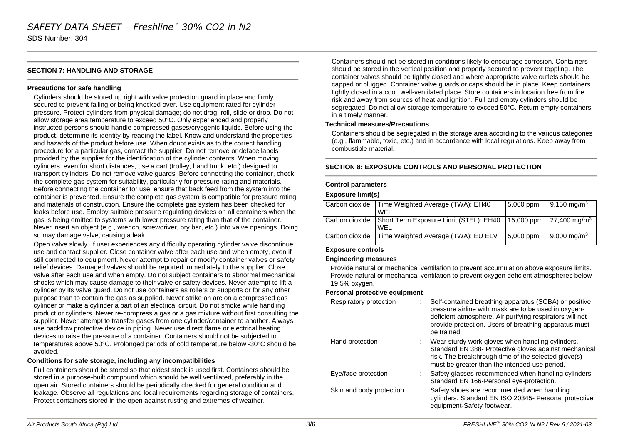SDS Number: 304

#### **SECTION 7: HANDLING AND STORAGE**

#### **Precautions for safe handling**

Cylinders should be stored up right with valve protection guard in place and firmly secured to prevent falling or being knocked over. Use equipment rated for cylinder pressure. Protect cylinders from physical damage; do not drag, roll, slide or drop. Do not allow storage area temperature to exceed 50°C. Only experienced and properly instructed persons should handle compressed gases/cryogenic liquids. Before using the product, determine its identity by reading the label. Know and understand the properties and hazards of the product before use. When doubt exists as to the correct handling procedure for a particular gas, contact the supplier. Do not remove or deface labels provided by the supplier for the identification of the cylinder contents. When moving cylinders, even for short distances, use a cart (trolley, hand truck, etc.) designed to transport cylinders. Do not remove valve guards. Before connecting the container, check the complete gas system for suitability, particularly for pressure rating and materials. Before connecting the container for use, ensure that back feed from the system into the container is prevented. Ensure the complete gas system is compatible for pressure rating and materials of construction. Ensure the complete gas system has been checked for leaks before use. Employ suitable pressure regulating devices on all containers when the gas is being emitted to systems with lower pressure rating than that of the container. Never insert an object (e.g., wrench, screwdriver, pry bar, etc.) into valve openings. Doing so may damage valve, causing a leak.

Open valve slowly. If user experiences any difficulty operating cylinder valve discontinue use and contact supplier. Close container valve after each use and when empty, even if still connected to equipment. Never attempt to repair or modify container valves or safety relief devices. Damaged valves should be reported immediately to the supplier. Close valve after each use and when empty. Do not subject containers to abnormal mechanical shocks which may cause damage to their valve or safety devices. Never attempt to lift a cylinder by its valve guard. Do not use containers as rollers or supports or for any other purpose than to contain the gas as supplied. Never strike an arc on a compressed gas cylinder or make a cylinder a part of an electrical circuit. Do not smoke while handling product or cylinders. Never re-compress a gas or a gas mixture without first consulting the supplier. Never attempt to transfer gases from one cylinder/container to another. Always use backflow protective device in piping. Never use direct flame or electrical heating devices to raise the pressure of a container. Containers should not be subjected to temperatures above 50°C. Prolonged periods of cold temperature below -30°C should be avoided.

#### **Conditions for safe storage, including any incompatibilities**

Full containers should be stored so that oldest stock is used first. Containers should be stored in a purpose-built compound which should be well ventilated, preferably in the open air. Stored containers should be periodically checked for general condition and leakage. Observe all regulations and local requirements regarding storage of containers. Protect containers stored in the open against rusting and extremes of weather.

Containers should not be stored in conditions likely to encourage corrosion. Containers should be stored in the vertical position and properly secured to prevent toppling. The container valves should be tightly closed and where appropriate valve outlets should be capped or plugged. Container valve guards or caps should be in place. Keep containers tightly closed in a cool, well-ventilated place. Store containers in location free from fire risk and away from sources of heat and ignition. Full and empty cylinders should be segregated. Do not allow storage temperature to exceed 50°C. Return empty containers in a timely manner.

#### **Technical measures/Precautions**

Containers should be segregated in the storage area according to the various categories (e.g., flammable, toxic, etc.) and in accordance with local regulations. Keep away from combustible material.

#### **SECTION 8: EXPOSURE CONTROLS AND PERSONAL PROTECTION**

#### **Control parameters**

#### **Exposure limit(s)**

|                | Carbon dioxide Time Weighted Average (TWA): EH40        | 5,000 ppm | $19,150 \text{ mg/m}^3$                              |
|----------------|---------------------------------------------------------|-----------|------------------------------------------------------|
|                | WFL                                                     |           |                                                      |
|                | Carbon dioxide   Short Term Exposure Limit (STEL): EH40 |           | 15,000 ppm $\left  27,400 \right $ mg/m <sup>3</sup> |
|                | WFI                                                     |           |                                                      |
| Carbon dioxide | Time Weighted Average (TWA): EU ELV                     | 5,000 ppm | $9,000 \text{ mg/m}^3$                               |
|                |                                                         |           |                                                      |

#### **Exposure controls**

#### **Engineering measures**

Provide natural or mechanical ventilation to prevent accumulation above exposure limits. Provide natural or mechanical ventilation to prevent oxygen deficient atmospheres below 19.5% oxygen.

#### **Personal protective equipment**

| Respiratory protection   | Self-contained breathing apparatus (SCBA) or positive<br>pressure airline with mask are to be used in oxygen-<br>deficient atmosphere. Air purifying respirators will not<br>provide protection. Users of breathing apparatus must<br>be trained. |  |
|--------------------------|---------------------------------------------------------------------------------------------------------------------------------------------------------------------------------------------------------------------------------------------------|--|
| Hand protection          | : Wear sturdy work gloves when handling cylinders.<br>Standard EN 388- Protective gloves against mechanical<br>risk. The breakthrough time of the selected glove(s)<br>must be greater than the intended use period.                              |  |
| Eye/face protection      | Safety glasses recommended when handling cylinders.<br>Standard EN 166-Personal eye-protection.                                                                                                                                                   |  |
| Skin and body protection | Safety shoes are recommended when handling<br>cylinders. Standard EN ISO 20345- Personal protective<br>equipment-Safety footwear.                                                                                                                 |  |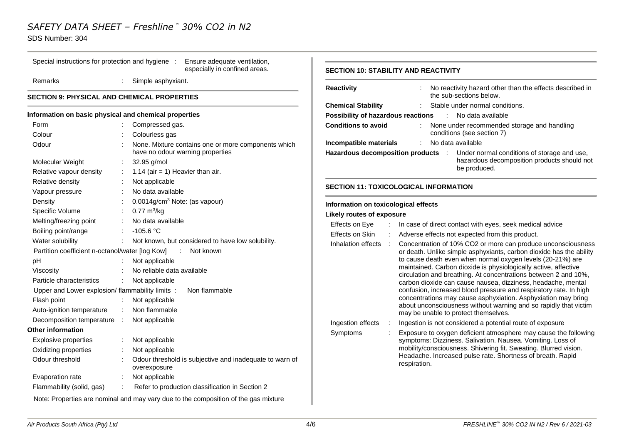Special instructions for protection and hygiene : Ensure adequate ventilation,

### SDS Number: 304

|                                                       |                             | especially in confined areas.                                                           |
|-------------------------------------------------------|-----------------------------|-----------------------------------------------------------------------------------------|
| Remarks                                               | ÷.                          | Simple asphyxiant.                                                                      |
| <b>SECTION 9: PHYSICAL AND CHEMICAL PROPERTIES</b>    |                             |                                                                                         |
| Information on basic physical and chemical properties |                             |                                                                                         |
| Form                                                  |                             | Compressed gas.                                                                         |
| Colour                                                |                             | Colourless gas                                                                          |
| Odour                                                 |                             | None. Mixture contains one or more components which<br>have no odour warning properties |
| Molecular Weight                                      |                             | 32.95 g/mol                                                                             |
| Relative vapour density                               | t.                          | 1.14 (air = 1) Heavier than air.                                                        |
| Relative density                                      | ÷                           | Not applicable                                                                          |
| Vapour pressure                                       |                             | No data available                                                                       |
| Density                                               |                             | 0.0014g/cm <sup>3</sup> Note: (as vapour)                                               |
| Specific Volume                                       | t.                          | $0.77 \text{ m}^3\text{/kg}$                                                            |
| Melting/freezing point                                | ÷.                          | No data available                                                                       |
| Boiling point/range                                   |                             | $-105.6 °C$                                                                             |
| Water solubility                                      |                             | Not known, but considered to have low solubility.                                       |
| Partition coefficient n-octanol/water [log Kow]       |                             | $\sim 100$<br>Not known                                                                 |
| рH                                                    |                             | Not applicable                                                                          |
| Viscosity                                             |                             | No reliable data available                                                              |
| Particle characteristics                              |                             | Not applicable                                                                          |
| Upper and Lower explosion/ flammability limits :      |                             | Non flammable                                                                           |
| Flash point                                           |                             | Not applicable                                                                          |
| Auto-ignition temperature                             | ÷                           | Non flammable                                                                           |
| Decomposition temperature                             | $\mathcal{C}_{\mathcal{A}}$ | Not applicable                                                                          |
| Other information                                     |                             |                                                                                         |
| Explosive properties                                  | t.                          | Not applicable                                                                          |
| Oxidizing properties                                  |                             | Not applicable                                                                          |
| Odour threshold                                       |                             | Odour threshold is subjective and inadequate to warn of<br>overexposure                 |
| Evaporation rate                                      |                             | Not applicable                                                                          |
| Flammability (solid, gas)                             | $\mathbb{R}^{\mathbb{Z}}$   | Refer to production classification in Section 2                                         |
|                                                       |                             | Note: Properties are nominal and may vary due to the composition of the gas mixture     |

#### **SECTION 10: STABILITY AND REACTIVITY**

| <b>Reactivity</b>                    |   | No reactivity hazard other than the effects described in<br>the sub-sections below.                                                                                                                                                                                                                                                                                                                                                                                                                                                                                                                                                                       |
|--------------------------------------|---|-----------------------------------------------------------------------------------------------------------------------------------------------------------------------------------------------------------------------------------------------------------------------------------------------------------------------------------------------------------------------------------------------------------------------------------------------------------------------------------------------------------------------------------------------------------------------------------------------------------------------------------------------------------|
| <b>Chemical Stability</b>            |   | Stable under normal conditions.<br>t                                                                                                                                                                                                                                                                                                                                                                                                                                                                                                                                                                                                                      |
| Possibility of hazardous reactions   |   | No data available<br>$\sim 1000$                                                                                                                                                                                                                                                                                                                                                                                                                                                                                                                                                                                                                          |
| <b>Conditions to avoid</b>           |   | None under recommended storage and handling<br>conditions (see section 7)                                                                                                                                                                                                                                                                                                                                                                                                                                                                                                                                                                                 |
| Incompatible materials               |   | No data available<br>÷                                                                                                                                                                                                                                                                                                                                                                                                                                                                                                                                                                                                                                    |
| Hazardous decomposition products :   |   | Under normal conditions of storage and use,<br>hazardous decomposition products should not<br>be produced.                                                                                                                                                                                                                                                                                                                                                                                                                                                                                                                                                |
|                                      |   | <b>SECTION 11: TOXICOLOGICAL INFORMATION</b>                                                                                                                                                                                                                                                                                                                                                                                                                                                                                                                                                                                                              |
| Information on toxicological effects |   |                                                                                                                                                                                                                                                                                                                                                                                                                                                                                                                                                                                                                                                           |
| <b>Likely routes of exposure</b>     |   |                                                                                                                                                                                                                                                                                                                                                                                                                                                                                                                                                                                                                                                           |
| Effects on Eye                       |   | In case of direct contact with eyes, seek medical advice                                                                                                                                                                                                                                                                                                                                                                                                                                                                                                                                                                                                  |
| Effects on Skin                      |   | Adverse effects not expected from this product.                                                                                                                                                                                                                                                                                                                                                                                                                                                                                                                                                                                                           |
| Inhalation effects                   | ÷ | Concentration of 10% CO2 or more can produce unconsciousness<br>or death. Unlike simple asphyxiants, carbon dioxide has the ability<br>to cause death even when normal oxygen levels (20-21%) are<br>maintained. Carbon dioxide is physiologically active, affective<br>circulation and breathing. At concentrations between 2 and 10%,<br>carbon dioxide can cause nausea, dizziness, headache, mental<br>confusion, increased blood pressure and respiratory rate. In high<br>concentrations may cause asphyxiation. Asphyxiation may bring<br>about unconsciousness without warning and so rapidly that victim<br>may be unable to protect themselves. |
| Ingestion effects                    |   | Ingestion is not considered a potential route of exposure                                                                                                                                                                                                                                                                                                                                                                                                                                                                                                                                                                                                 |
| Symptoms                             | ÷ | Exposure to oxygen deficient atmosphere may cause the following<br>symptoms: Dizziness. Salivation. Nausea. Vomiting. Loss of<br>mobility/consciousness. Shivering fit. Sweating. Blurred vision.<br>Headache. Increased pulse rate. Shortness of breath. Rapid<br>respiration.                                                                                                                                                                                                                                                                                                                                                                           |
|                                      |   |                                                                                                                                                                                                                                                                                                                                                                                                                                                                                                                                                                                                                                                           |

 $\mathbf{L}$ 

 $\sim$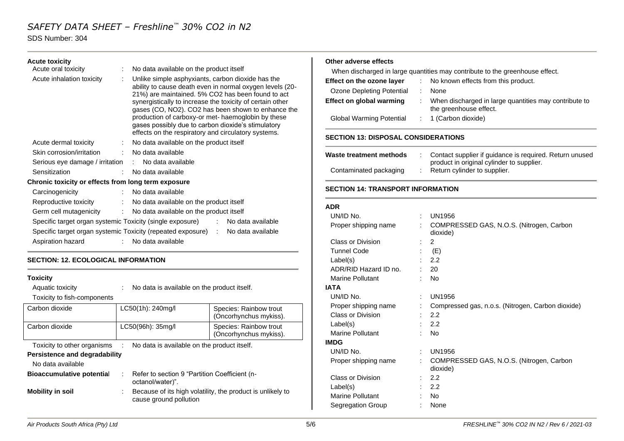#### SDS Number: 304

#### **Acute toxicity**

| Acute oral toxicity                                       | No data available on the product itself                                                                                                                                                                                                                                                                                                                                                                                                                  |
|-----------------------------------------------------------|----------------------------------------------------------------------------------------------------------------------------------------------------------------------------------------------------------------------------------------------------------------------------------------------------------------------------------------------------------------------------------------------------------------------------------------------------------|
| Acute inhalation toxicity<br>÷                            | Unlike simple asphyxiants, carbon dioxide has the<br>ability to cause death even in normal oxygen levels (20-<br>21%) are maintained. 5% CO2 has been found to act<br>synergistically to increase the toxicity of certain other<br>gases (CO, NO2). CO2 has been shown to enhance the<br>production of carboxy-or met- haemoglobin by these<br>gases possibly due to carbon dioxide's stimulatory<br>effects on the respiratory and circulatory systems. |
| Acute dermal toxicity                                     | No data available on the product itself                                                                                                                                                                                                                                                                                                                                                                                                                  |
| Skin corrosion/irritation<br>÷                            | No data available                                                                                                                                                                                                                                                                                                                                                                                                                                        |
| Serious eye damage / irritation : No data available       |                                                                                                                                                                                                                                                                                                                                                                                                                                                          |
| Sensitization                                             | No data available                                                                                                                                                                                                                                                                                                                                                                                                                                        |
| Chronic toxicity or effects from long term exposure       |                                                                                                                                                                                                                                                                                                                                                                                                                                                          |
| Carcinogenicity                                           | No data available                                                                                                                                                                                                                                                                                                                                                                                                                                        |
| Reproductive toxicity                                     | No data available on the product itself                                                                                                                                                                                                                                                                                                                                                                                                                  |
| Germ cell mutagenicity                                    | No data available on the product itself<br>÷.                                                                                                                                                                                                                                                                                                                                                                                                            |
| Specific target organ systemic Toxicity (single exposure) | No data available                                                                                                                                                                                                                                                                                                                                                                                                                                        |
|                                                           | Specific target organ systemic Toxicity (repeated exposure) : No data available                                                                                                                                                                                                                                                                                                                                                                          |
| Aspiration hazard                                         | : No data available                                                                                                                                                                                                                                                                                                                                                                                                                                      |

#### **SECTION: 12. ECOLOGICAL INFORMATION**

### **Toxicity** Aquatic toxicity : No data is available on the product itself. Toxicity to fish-components Carbon dioxide <br>
LC50(1h): 240mg/l Species: Rainbow trout (Oncorhynchus mykiss). Carbon dioxide LC50(96h): 35mg/l Species: Rainbow trout (Oncorhynchus mykiss). Toxicity to other organisms : No data is available on the product itself. **Persistence and degradability** No data available **Bioaccumulative potentia**l : Refer to section 9 "Partition Coefficient (noctanol/water)". **Mobility in soil** : Because of its high volatility, the product is unlikely to cause ground pollution

#### **Other adverse effects**

| When discharged in large quantities may contribute to the greenhouse effect. |  |                                                                                 |  |  |
|------------------------------------------------------------------------------|--|---------------------------------------------------------------------------------|--|--|
| Effect on the ozone layer                                                    |  | : No known effects from this product.                                           |  |  |
| Ozone Depleting Potential                                                    |  | <b>None</b>                                                                     |  |  |
| Effect on global warming                                                     |  | When discharged in large quantities may contribute to<br>the greenhouse effect. |  |  |
| <b>Global Warming Potential</b>                                              |  | $: 1$ (Carbon dioxide)                                                          |  |  |

#### **SECTION 13: DISPOSAL CONSIDERATIONS**

| Waste treatment methods | Contact supplier if guidance is required. Return unused<br>product in original cylinder to supplier. |
|-------------------------|------------------------------------------------------------------------------------------------------|
| Contaminated packaging  | Return cylinder to supplier.                                                                         |

#### **SECTION 14: TRANSPORT INFORMATION**

#### **ADR**

| UN/ID No.               |   | UN1956                                               |
|-------------------------|---|------------------------------------------------------|
| Proper shipping name    | ÷ | COMPRESSED GAS, N.O.S. (Nitrogen, Carbon<br>dioxide) |
| Class or Division       |   | 2                                                    |
| <b>Tunnel Code</b>      |   | (E)                                                  |
| Label(s)                |   | 2.2                                                  |
| ADR/RID Hazard ID no.   |   | 20                                                   |
| <b>Marine Pollutant</b> |   | No                                                   |
| IATA                    |   |                                                      |
| UN/ID No.               |   | <b>UN1956</b>                                        |
| Proper shipping name    |   | Compressed gas, n.o.s. (Nitrogen, Carbon dioxide)    |
| Class or Division       |   | 2.2                                                  |
| Label(s)                |   | 2.2                                                  |
| <b>Marine Pollutant</b> |   | No                                                   |
| IMDG                    |   |                                                      |
| UN/ID No.               | ÷ | <b>UN1956</b>                                        |
| Proper shipping name    |   | COMPRESSED GAS, N.O.S. (Nitrogen, Carbon<br>dioxide) |
| Class or Division       |   | 2.2                                                  |
| Label(s)                |   | 2.2                                                  |
| Marine Pollutant        |   | No                                                   |
| Segregation Group       |   | None                                                 |
|                         |   |                                                      |